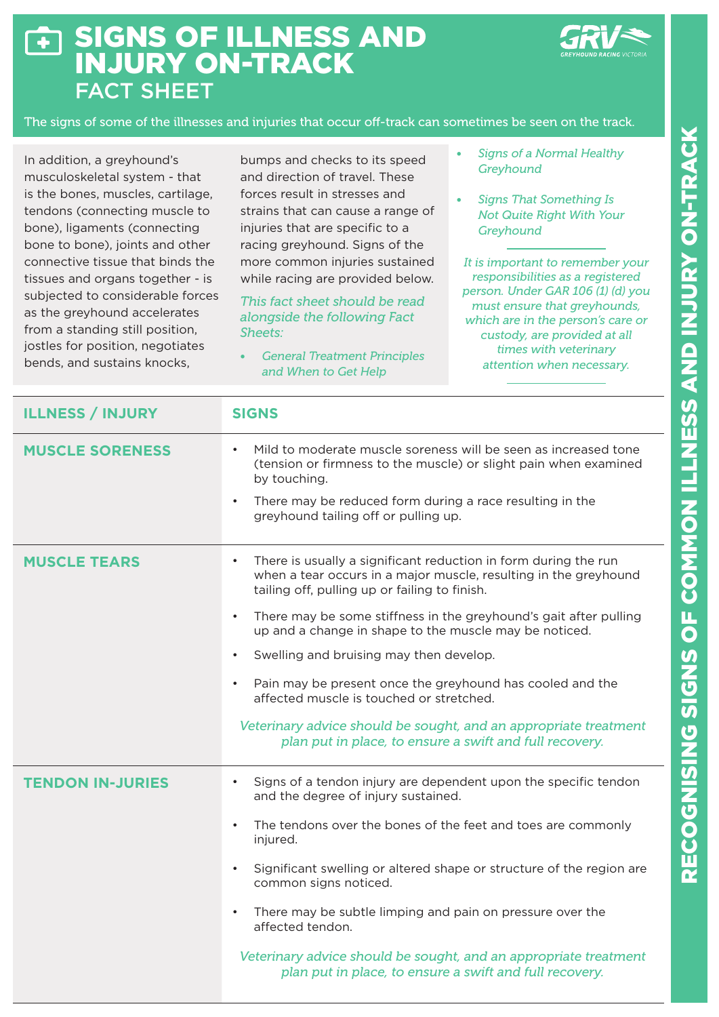## SIGNS OF ILLNESS AND  $\overline{\bullet}$ INJURY ON-TRACK FACT SHEET



The signs of some of the illnesses and injuries that occur off-track can sometimes be seen on the track.

In addition, a greyhound's musculoskeletal system - that is the bones, muscles, cartilage, tendons (connecting muscle to bone), ligaments (connecting bone to bone), joints and other connective tissue that binds the tissues and organs together - is subjected to considerable forces as the greyhound accelerates from a standing still position, jostles for position, negotiates bends, and sustains knocks,

bumps and checks to its speed and direction of travel. These forces result in stresses and strains that can cause a range of injuries that are specific to a racing greyhound. Signs of the more common injuries sustained while racing are provided below.

## *This fact sheet should be read alongside the following Fact Sheets:*

*• General Treatment Principles and When to Get Help*

- *• Signs of a Normal Healthy Greyhound*
- *• Signs That Something Is Not Quite Right With Your Greyhound*

*It is important to remember your responsibilities as a registered person. Under GAR 106 (1) (d) you must ensure that greyhounds, which are in the person's care or custody, are provided at all times with veterinary attention when necessary.*

| <b>ILLNESS / INJURY</b> | <b>SIGNS</b>                                                                                                                                                                                                                                                                                                                                                                                                                                                                                                                                                                                                                                               |
|-------------------------|------------------------------------------------------------------------------------------------------------------------------------------------------------------------------------------------------------------------------------------------------------------------------------------------------------------------------------------------------------------------------------------------------------------------------------------------------------------------------------------------------------------------------------------------------------------------------------------------------------------------------------------------------------|
| <b>MUSCLE SORENESS</b>  | Mild to moderate muscle soreness will be seen as increased tone<br>$\bullet$<br>(tension or firmness to the muscle) or slight pain when examined<br>by touching.<br>There may be reduced form during a race resulting in the<br>$\bullet$<br>greyhound tailing off or pulling up.                                                                                                                                                                                                                                                                                                                                                                          |
| <b>MUSCLE TEARS</b>     | There is usually a significant reduction in form during the run<br>$\bullet$<br>when a tear occurs in a major muscle, resulting in the greyhound<br>tailing off, pulling up or failing to finish.<br>There may be some stiffness in the greyhound's gait after pulling<br>$\bullet$<br>up and a change in shape to the muscle may be noticed.<br>Swelling and bruising may then develop.<br>$\bullet$<br>Pain may be present once the greyhound has cooled and the<br>$\bullet$<br>affected muscle is touched or stretched.<br>Veterinary advice should be sought, and an appropriate treatment<br>plan put in place, to ensure a swift and full recovery. |
| <b>TENDON IN-JURIES</b> | Signs of a tendon injury are dependent upon the specific tendon<br>$\bullet$<br>and the degree of injury sustained.<br>The tendons over the bones of the feet and toes are commonly<br>injured.<br>Significant swelling or altered shape or structure of the region are<br>$\bullet$<br>common signs noticed.<br>There may be subtle limping and pain on pressure over the<br>affected tendon.<br>Veterinary advice should be sought, and an appropriate treatment<br>plan put in place, to ensure a swift and full recovery.                                                                                                                              |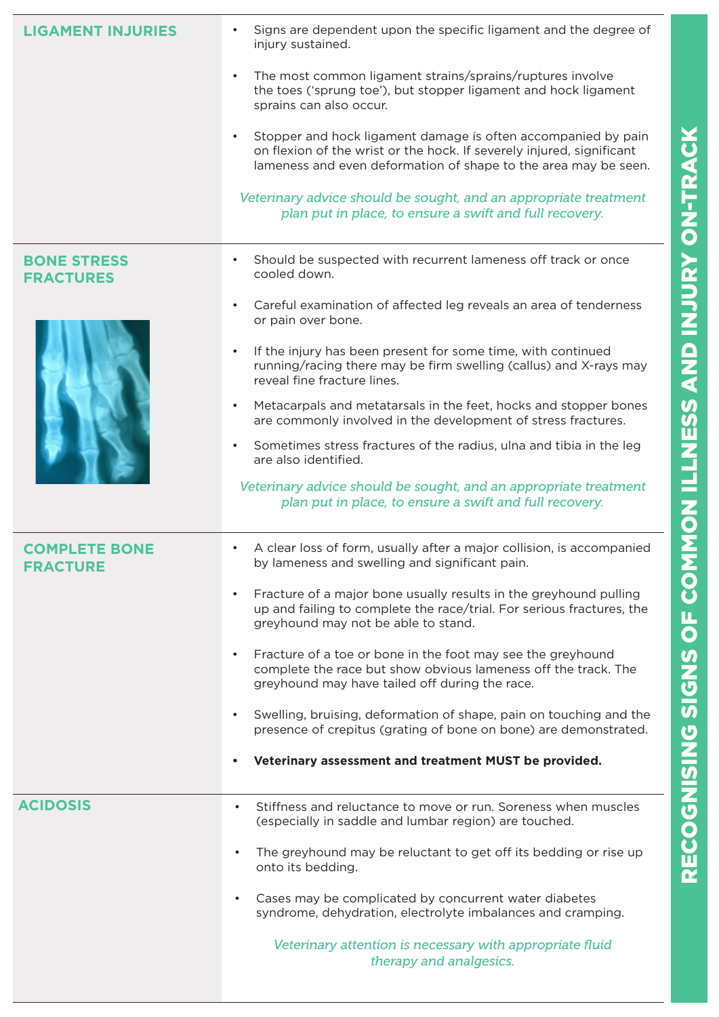| <b>LIGAMENT INJURIES</b>                | Signs are dependent upon the specific ligament and the degree of<br>$\bullet$<br>injury sustained.<br>The most common ligament strains/sprains/ruptures involve<br>$\bullet$<br>the toes ('sprung toe'), but stopper ligament and hock ligament<br>sprains can also occur.<br>Stopper and hock ligament damage is often accompanied by pain<br>$\bullet$<br>on flexion of the wrist or the hock. If severely injured, significant<br>lameness and even deformation of shape to the area may be seen.<br>Veterinary advice should be sought, and an appropriate treatment<br>plan put in place, to ensure a swift and full recovery.                                                                                                                                              |
|-----------------------------------------|----------------------------------------------------------------------------------------------------------------------------------------------------------------------------------------------------------------------------------------------------------------------------------------------------------------------------------------------------------------------------------------------------------------------------------------------------------------------------------------------------------------------------------------------------------------------------------------------------------------------------------------------------------------------------------------------------------------------------------------------------------------------------------|
| <b>BONE STRESS</b><br><b>FRACTURES</b>  | Should be suspected with recurrent lameness off track or once<br>$\bullet$<br>cooled down.<br>Careful examination of affected leg reveals an area of tenderness<br>$\bullet$<br>or pain over bone.<br>If the injury has been present for some time, with continued<br>$\bullet$<br>running/racing there may be firm swelling (callus) and X-rays may<br>reveal fine fracture lines.<br>Metacarpals and metatarsals in the feet, hocks and stopper bones<br>$\bullet$<br>are commonly involved in the development of stress fractures.<br>Sometimes stress fractures of the radius, ulna and tibia in the leg<br>$\bullet$<br>are also identified.<br>Veterinary advice should be sought, and an appropriate treatment<br>plan put in place, to ensure a swift and full recovery. |
| <b>COMPLETE BONE</b><br><b>FRACTURE</b> | A clear loss of form, usually after a major collision, is accompanied<br>by lameness and swelling and significant pain.<br>Fracture of a major bone usually results in the greyhound pulling<br>$\bullet$<br>up and failing to complete the race/trial. For serious fractures, the<br>greyhound may not be able to stand.<br>Fracture of a toe or bone in the foot may see the greyhound<br>$\bullet$<br>complete the race but show obvious lameness off the track. The<br>greyhound may have tailed off during the race.<br>Swelling, bruising, deformation of shape, pain on touching and the<br>$\bullet$<br>presence of crepitus (grating of bone on bone) are demonstrated.<br>Veterinary assessment and treatment MUST be provided.<br>$\bullet$                           |
| <b>ACIDOSIS</b>                         | Stiffness and reluctance to move or run. Soreness when muscles<br>$\bullet$<br>(especially in saddle and lumbar region) are touched.<br>The greyhound may be reluctant to get off its bedding or rise up<br>$\bullet$<br>onto its bedding.<br>Cases may be complicated by concurrent water diabetes<br>$\bullet$<br>syndrome, dehydration, electrolyte imbalances and cramping.<br>Veterinary attention is necessary with appropriate fluid<br>therapy and analgesics.                                                                                                                                                                                                                                                                                                           |